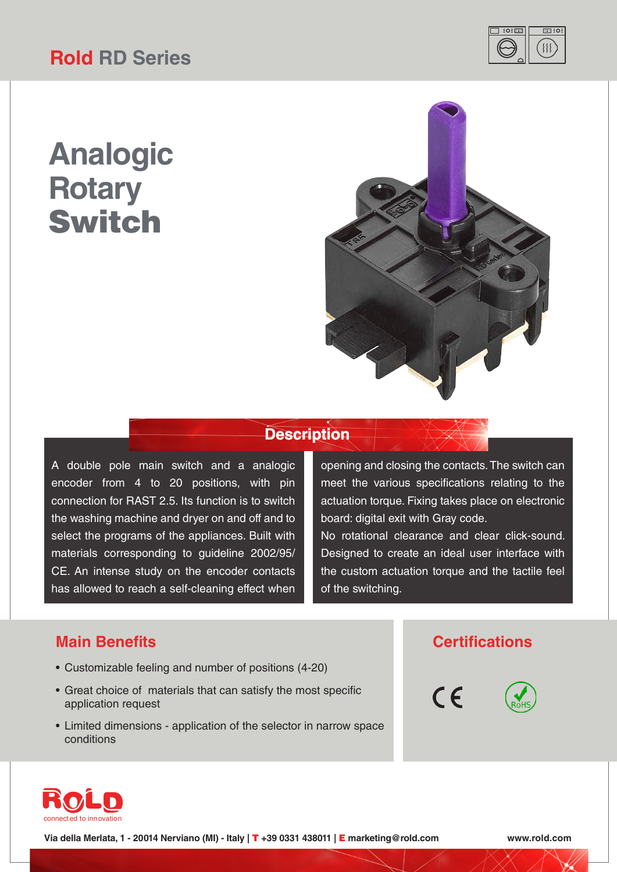# **Rold RD Series**



# **Analogic Rotary** Switch



### **Description**

A double pole main switch and a analogic encoder from 4 to 20 positions, with pin connection for RAST 2.5. Its function is to switch the washing machine and dryer on and off and to select the programs of the appliances. Built with materials corresponding to guideline 2002/95/ CE. An intense study on the encoder contacts has allowed to reach a self-cleaning effect when

opening and closing the contacts. The switch can meet the various specifications relating to the actuation torque. Fixing takes place on electronic board: digital exit with Gray code.

No rotational clearance and clear click-sound. Designed to create an ideal user interface with the custom actuation torque and the tactile feel of the switching.

#### **Main Benefits Certifications**

- Customizable feeling and number of positions (4-20)
- Great choice of materials that can satisfy the most specific application request
- Limited dimensions application of the selector in narrow space conditions